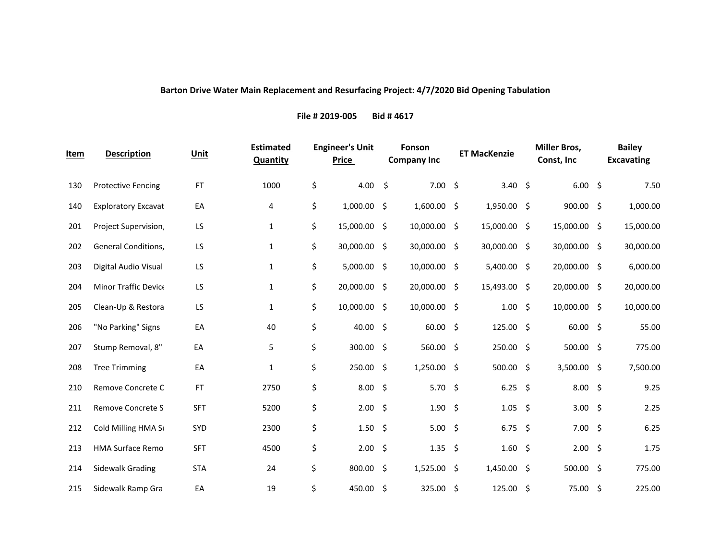## **Barton Drive Water Main Replacement and Resurfacing Project: 4/7/2020 Bid Opening Tabulation**

**File # 2019‐005 Bid # 4617**

| <u>Item</u> | <b>Description</b>         | Unit       | <b>Estimated</b><br><b>Quantity</b> | <b>Engineer's Unit</b><br><b>Price</b> |      | Fonson<br><b>Company Inc</b> | <b>ET MacKenzie</b> | <b>Miller Bros,</b><br>Const, Inc | <b>Bailey</b><br><b>Excavating</b> |
|-------------|----------------------------|------------|-------------------------------------|----------------------------------------|------|------------------------------|---------------------|-----------------------------------|------------------------------------|
| 130         | <b>Protective Fencing</b>  | <b>FT</b>  | 1000                                | \$<br>4.00                             | - \$ | 7.00%                        | 3.40 \$             | 6.00%                             | 7.50                               |
| 140         | <b>Exploratory Excavat</b> | EA         | 4                                   | \$<br>1,000.00 \$                      |      | $1,600.00$ \$                | 1,950.00 \$         | 900.00 \$                         | 1,000.00                           |
| 201         | Project Supervision        | LS         | 1                                   | \$<br>15,000.00 \$                     |      | 10,000.00 \$                 | 15,000.00 \$        | 15,000.00 \$                      | 15,000.00                          |
| 202         | General Conditions,        | LS         | $\mathbf{1}$                        | \$<br>30,000.00 \$                     |      | 30,000.00 \$                 | 30,000.00 \$        | 30,000.00 \$                      | 30,000.00                          |
| 203         | Digital Audio Visual       | LS         | 1                                   | \$<br>$5,000.00$ \$                    |      | 10,000.00 \$                 | 5,400.00 \$         | 20,000.00 \$                      | 6,000.00                           |
| 204         | Minor Traffic Device       | LS         | $\mathbf{1}$                        | \$<br>20,000.00 \$                     |      | 20,000.00 \$                 | 15,493.00 \$        | 20,000.00 \$                      | 20,000.00                          |
| 205         | Clean-Up & Restora         | LS         | 1                                   | \$<br>10,000.00 \$                     |      | 10,000.00 \$                 | $1.00 \pm$          | 10,000.00 \$                      | 10,000.00                          |
| 206         | "No Parking" Signs         | EA         | 40                                  | \$<br>40.00 \$                         |      | $60.00$ \$                   | $125.00 \div$       | $60.00$ \$                        | 55.00                              |
| 207         | Stump Removal, 8"          | EA         | 5                                   | \$<br>300.00 \$                        |      | 560.00 \$                    | 250.00 \$           | 500.00 \$                         | 775.00                             |
| 208         | <b>Tree Trimming</b>       | EA         | $\mathbf{1}$                        | \$<br>250.00 \$                        |      | $1,250.00$ \$                | $500.00$ \$         | 3,500.00 \$                       | 7,500.00                           |
| 210         | Remove Concrete C          | <b>FT</b>  | 2750                                | \$<br>8.00%                            |      | 5.70 \$                      | $6.25$ \$           | 8.00%                             | 9.25                               |
| 211         | <b>Remove Concrete S</b>   | <b>SFT</b> | 5200                                | \$<br>2.00%                            |      | 1.90%                        | $1.05$ \$           | 3.00%                             | 2.25                               |
| 212         | Cold Milling HMA S         | <b>SYD</b> | 2300                                | \$<br>1.50%                            |      | 5.00%                        | $6.75$ \$           | 7.00%                             | 6.25                               |
| 213         | <b>HMA Surface Remo</b>    | <b>SFT</b> | 4500                                | \$<br>2.00%                            |      | $1.35 \; \S$                 | 1.60%               | 2.00%                             | 1.75                               |
| 214         | <b>Sidewalk Grading</b>    | <b>STA</b> | 24                                  | \$<br>800.00 \$                        |      | 1,525.00 \$                  | $1,450.00$ \$       | 500.00 \$                         | 775.00                             |
| 215         | Sidewalk Ramp Gra          | EA         | 19                                  | \$<br>450.00 \$                        |      | 325.00 \$                    | 125.00%             | 75.00 \$                          | 225.00                             |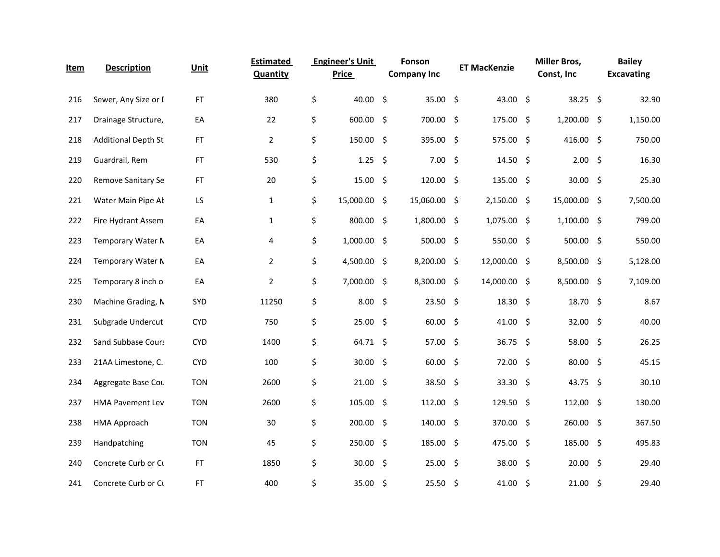| Item | <b>Description</b>         | Unit       | <b>Estimated</b><br><b>Quantity</b> | <b>Engineer's Unit</b><br><b>Price</b> | Fonson<br><b>Company Inc</b> |      | <b>ET MacKenzie</b> | <b>Miller Bros,</b><br>Const, Inc | <b>Bailey</b><br><b>Excavating</b> |
|------|----------------------------|------------|-------------------------------------|----------------------------------------|------------------------------|------|---------------------|-----------------------------------|------------------------------------|
| 216  | Sewer, Any Size or I       | <b>FT</b>  | 380                                 | \$<br>40.00 \$                         | 35.00 \$                     |      | 43.00 \$            | 38.25 \$                          | 32.90                              |
| 217  | Drainage Structure,        | EA         | 22                                  | \$<br>600.00 \$                        | 700.00                       | \$   | 175.00 \$           | $1,200.00$ \$                     | 1,150.00                           |
| 218  | <b>Additional Depth St</b> | FT         | $\overline{2}$                      | \$<br>150.00 \$                        | 395.00                       | \$   | 575.00 \$           | 416.00 \$                         | 750.00                             |
| 219  | Guardrail, Rem             | <b>FT</b>  | 530                                 | \$<br>$1.25$ \$                        | 7.00                         | - \$ | 14.50 \$            | 2.00%                             | 16.30                              |
| 220  | Remove Sanitary Se         | FT.        | 20                                  | \$<br>15.00%                           | $120.00$ \$                  |      | 135.00 \$           | $30.00$ \$                        | 25.30                              |
| 221  | Water Main Pipe Al         | LS         | $\mathbf{1}$                        | \$<br>15,000.00 \$                     | 15,060.00                    | \$   | $2,150.00$ \$       | 15,000.00 \$                      | 7,500.00                           |
| 222  | Fire Hydrant Assem         | EA         | $\mathbf{1}$                        | \$<br>800.00 \$                        | 1,800.00                     | \$   | $1,075.00$ \$       | $1,100.00$ \$                     | 799.00                             |
| 223  | Temporary Water N          | EA         | 4                                   | \$<br>1,000.00 \$                      | 500.00                       | \$   | 550.00 \$           | 500.00 \$                         | 550.00                             |
| 224  | Temporary Water N          | EA         | $\overline{2}$                      | \$<br>4,500.00 \$                      | 8,200.00                     | -\$  | 12,000.00 \$        | 8,500.00 \$                       | 5,128.00                           |
| 225  | Temporary 8 inch o         | EA         | $\overline{2}$                      | \$<br>7,000.00 \$                      | 8,300.00                     | Ŝ.   | 14,000.00 \$        | $8,500.00$ \$                     | 7,109.00                           |
| 230  | Machine Grading, N         | SYD        | 11250                               | \$<br>8.00%                            | 23.50                        | \$   | $18.30 \; \text{S}$ | 18.70 \$                          | 8.67                               |
| 231  | Subgrade Undercut          | <b>CYD</b> | 750                                 | \$<br>25.00 \$                         | 60.00                        | \$   | 41.00 \$            | 32.00%                            | 40.00                              |
| 232  | Sand Subbase Cour:         | <b>CYD</b> | 1400                                | \$<br>64.71 \$                         | 57.00 \$                     |      | 36.75 \$            | 58.00 \$                          | 26.25                              |
| 233  | 21AA Limestone, C.         | <b>CYD</b> | 100                                 | \$<br>30.00 \$                         | 60.00                        | - \$ | 72.00 \$            | 80.00 \$                          | 45.15                              |
| 234  | Aggregate Base Cou         | <b>TON</b> | 2600                                | \$<br>21.00%                           | 38.50                        | \$   | 33.30 \$            | 43.75 \$                          | 30.10                              |
| 237  | <b>HMA Pavement Lev</b>    | <b>TON</b> | 2600                                | \$<br>105.00 \$                        | 112.00                       | -\$  | 129.50%             | $112.00$ \$                       | 130.00                             |
| 238  | HMA Approach               | <b>TON</b> | 30                                  | \$<br>200.00 \$                        | 140.00 \$                    |      | 370.00 \$           | 260.00 \$                         | 367.50                             |
| 239  | Handpatching               | <b>TON</b> | 45                                  | \$<br>250.00 \$                        | 185.00                       | - \$ | 475.00 \$           | 185.00 \$                         | 495.83                             |
| 240  | Concrete Curb or Cu        | <b>FT</b>  | 1850                                | \$<br>30.00 \$                         | 25.00                        | \$   | 38.00 \$            | 20.00 \$                          | 29.40                              |
| 241  | Concrete Curb or Cu        | FT.        | 400                                 | \$<br>35.00 \$                         | 25.50%                       |      | 41.00 \$            | 21.00%                            | 29.40                              |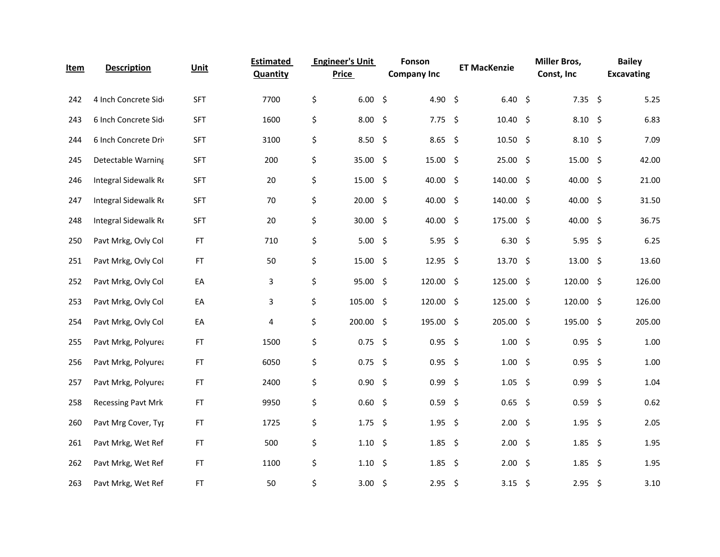| <u>Item</u> | <b>Description</b>   | Unit       | <b>Estimated</b><br><b>Quantity</b> | <b>Engineer's Unit</b><br><b>Price</b> | Fonson<br><b>Company Inc</b> |      | <b>ET MacKenzie</b> | <b>Miller Bros,</b><br>Const, Inc |      | <b>Bailey</b><br><b>Excavating</b> |
|-------------|----------------------|------------|-------------------------------------|----------------------------------------|------------------------------|------|---------------------|-----------------------------------|------|------------------------------------|
| 242         | 4 Inch Concrete Sid  | <b>SFT</b> | 7700                                | \$<br>6.00%                            | 4.90 \$                      |      | 6.40%               | $7.35$ \$                         |      | 5.25                               |
| 243         | 6 Inch Concrete Sid  | <b>SFT</b> | 1600                                | \$<br>8.00%                            | $7.75$ \$                    |      | $10.40 \div$        | $8.10\frac{1}{5}$                 |      | 6.83                               |
| 244         | 6 Inch Concrete Driv | <b>SFT</b> | 3100                                | \$<br>8.50%                            | 8.65                         | - \$ | 10.50%              | $8.10\frac{2}{3}$                 |      | 7.09                               |
| 245         | Detectable Warning   | <b>SFT</b> | 200                                 | \$<br>35.00 \$                         | 15.00                        | -\$  | 25.00 \$            | 15.00%                            |      | 42.00                              |
| 246         | Integral Sidewalk Re | <b>SFT</b> | 20                                  | \$<br>15.00%                           | 40.00 \$                     |      | 140.00 \$           | 40.00 \$                          |      | 21.00                              |
| 247         | Integral Sidewalk Re | <b>SFT</b> | 70                                  | \$<br>$20.00$ \$                       | 40.00 \$                     |      | $140.00$ \$         | 40.00 \$                          |      | 31.50                              |
| 248         | Integral Sidewalk Re | <b>SFT</b> | 20                                  | \$<br>30.00%                           | 40.00 \$                     |      | 175.00 \$           | 40.00 \$                          |      | 36.75                              |
| 250         | Pavt Mrkg, Ovly Col  | FT         | 710                                 | \$<br>5.00%                            | 5.95                         | -\$  | $6.30\frac{2}{3}$   | 5.95                              | - \$ | 6.25                               |
| 251         | Pavt Mrkg, Ovly Col  | <b>FT</b>  | 50                                  | \$<br>15.00 \$                         | $12.95$ \$                   |      | 13.70 \$            | $13.00$ \$                        |      | 13.60                              |
| 252         | Pavt Mrkg, Ovly Col  | EA         | 3                                   | \$<br>95.00%                           | 120.00                       | -\$  | 125.00 \$           | 120.00 \$                         |      | 126.00                             |
| 253         | Pavt Mrkg, Ovly Col  | EA         | 3                                   | \$<br>105.00 \$                        | 120.00 \$                    |      | 125.00 \$           | 120.00 \$                         |      | 126.00                             |
| 254         | Pavt Mrkg, Ovly Col  | EA         | 4                                   | \$<br>200.00 \$                        | 195.00                       | \$   | 205.00 \$           | 195.00 \$                         |      | 205.00                             |
| 255         | Pavt Mrkg, Polyurea  | ${\sf FT}$ | 1500                                | \$<br>$0.75$ \$                        | $0.95$ \$                    |      | 1.00%               | $0.95$ \$                         |      | 1.00                               |
| 256         | Pavt Mrkg, Polyurea  | FT         | 6050                                | \$<br>$0.75$ \$                        | 0.95                         | - \$ | 1.00%               | $0.95$ \$                         |      | 1.00                               |
| 257         | Pavt Mrkg, Polyurea  | ${\sf FT}$ | 2400                                | \$<br>0.90%                            | 0.99                         | - \$ | $1.05$ \$           | $0.99$ \$                         |      | 1.04                               |
| 258         | Recessing Pavt Mrk   | FT         | 9950                                | \$<br>$0.60$ \$                        | 0.59                         | - \$ | $0.65$ \$           | $0.59$ \$                         |      | 0.62                               |
| 260         | Pavt Mrg Cover, Typ  | <b>FT</b>  | 1725                                | \$<br>$1.75$ \$                        | $1.95$ \$                    |      | 2.00%               | $1.95$ \$                         |      | 2.05                               |
| 261         | Pavt Mrkg, Wet Ref   | FT.        | 500                                 | \$<br>$1.10 \; \simeq$                 | 1.85                         | - \$ | 2.00%               | $1.85$ \$                         |      | 1.95                               |
| 262         | Pavt Mrkg, Wet Ref   | FT.        | 1100                                | \$<br>$1.10 \pm$                       | 1.85                         | - \$ | 2.00%               | $1.85$ \$                         |      | 1.95                               |
| 263         | Pavt Mrkg, Wet Ref   | FT.        | 50                                  | \$<br>3.00 \$                          | $2.95$ \$                    |      | 3.15 \$             | $2.95$ \$                         |      | 3.10                               |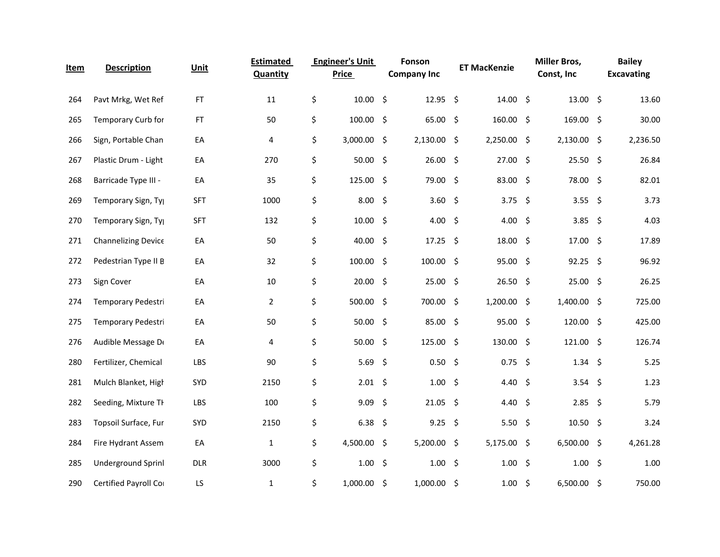| <u>Item</u> | <b>Description</b>         | Unit       | <b>Estimated</b><br>Quantity | <b>Engineer's Unit</b><br><b>Price</b> |      | Fonson<br><b>Company Inc</b> |         | <b>ET MacKenzie</b> |      | <b>Miller Bros,</b><br>Const, Inc |      | <b>Bailey</b><br><b>Excavating</b> |
|-------------|----------------------------|------------|------------------------------|----------------------------------------|------|------------------------------|---------|---------------------|------|-----------------------------------|------|------------------------------------|
| 264         | Pavt Mrkg, Wet Ref         | FT         | 11                           | \$<br>10.00%                           |      | $12.95$ \$                   |         | 14.00%              |      | 13.00%                            |      | 13.60                              |
| 265         | Temporary Curb for         | <b>FT</b>  | 50                           | \$<br>$100.00$ \$                      |      | 65.00                        | -\$     | 160.00 \$           |      | 169.00 \$                         |      | 30.00                              |
| 266         | Sign, Portable Chan        | EA         | 4                            | \$<br>3,000.00 \$                      |      | 2,130.00                     | \$      | 2,250.00 \$         |      | 2,130.00 \$                       |      | 2,236.50                           |
| 267         | Plastic Drum - Light       | EA         | 270                          | \$<br>$50.00$ \$                       |      | 26.00                        | \$      | 27.00               | - \$ | $25.50$ \$                        |      | 26.84                              |
| 268         | Barricade Type III -       | EA         | 35                           | \$<br>125.00 \$                        |      | 79.00                        | -\$     | 83.00 \$            |      | 78.00 \$                          |      | 82.01                              |
| 269         | Temporary Sign, Ty         | <b>SFT</b> | 1000                         | \$<br>8.00%                            |      | 3.60                         | \$      | 3.75 \$             |      | 3.55 \$                           |      | 3.73                               |
| 270         | Temporary Sign, Ty         | <b>SFT</b> | 132                          | \$<br>10.00%                           |      | 4.00                         | $\zeta$ | 4.00 \$             |      | 3.85                              | - \$ | 4.03                               |
| 271         | <b>Channelizing Device</b> | EA         | 50                           | \$<br>40.00 \$                         |      | 17.25                        | \$      | 18.00               | - \$ | $17.00$ \$                        |      | 17.89                              |
| 272         | Pedestrian Type II E       | EA         | 32                           | \$<br>$100.00$ \$                      |      | $100.00$ \$                  |         | 95.00%              |      | $92.25$ \$                        |      | 96.92                              |
| 273         | Sign Cover                 | EA         | 10                           | \$<br>$20.00$ \$                       |      | 25.00                        | \$      | 26.50%              |      | 25.00%                            |      | 26.25                              |
| 274         | Temporary Pedestri         | EA         | $\overline{2}$               | \$<br>500.00 \$                        |      | 700.00                       | \$      | $1,200.00$ \$       |      | 1,400.00 \$                       |      | 725.00                             |
| 275         | Temporary Pedestri         | EA         | 50                           | \$<br>$50.00$ \$                       |      | 85.00                        | \$      | 95.00%              |      | $120.00$ \$                       |      | 425.00                             |
| 276         | Audible Message D          | EA         | 4                            | \$<br>$50.00$ \$                       |      | 125.00                       | -\$     | 130.00 \$           |      | 121.00 \$                         |      | 126.74                             |
| 280         | Fertilizer, Chemical       | LBS        | 90                           | \$<br>5.69                             | - \$ | 0.50                         | -\$     | $0.75$ \$           |      | $1.34 \div$                       |      | 5.25                               |
| 281         | Mulch Blanket, High        | SYD        | 2150                         | \$<br>$2.01$ \$                        |      | 1.00                         | \$      | 4.40 \$             |      | 3.54 \$                           |      | 1.23                               |
| 282         | Seeding, Mixture TI        | LBS        | 100                          | \$<br>$9.09$ \$                        |      | 21.05                        | \$      | 4.40 \$             |      | 2.85                              | - \$ | 5.79                               |
| 283         | Topsoil Surface, Fur       | SYD        | 2150                         | \$<br>$6.38\frac{2}{3}$                |      | 9.25                         | - \$    | 5.50 \$             |      | 10.50%                            |      | 3.24                               |
| 284         | Fire Hydrant Assem         | EA         | $\mathbf{1}$                 | \$<br>4,500.00 \$                      |      | 5,200.00                     | \$      | 5,175.00 \$         |      | $6,500.00$ \$                     |      | 4,261.28                           |
| 285         | Underground Sprinl         | <b>DLR</b> | 3000                         | \$<br>1.00%                            |      | 1.00                         | \$      | 1.00                | - \$ | 1.00%                             |      | 1.00                               |
| 290         | Certified Payroll Co       | LS         | 1                            | \$<br>$1,000.00$ \$                    |      | $1,000.00$ \$                |         | $1.00 \pm$          |      | 6,500.00 \$                       |      | 750.00                             |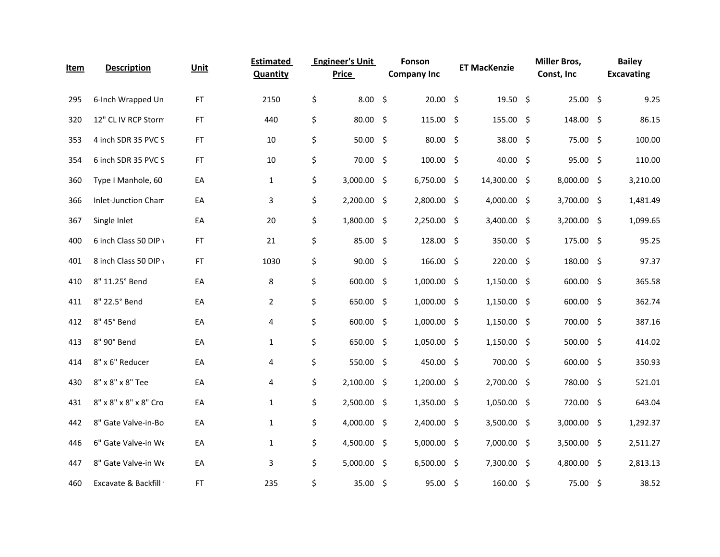| <u>Item</u> | <b>Description</b>    | Unit      | <b>Estimated</b><br>Quantity | <b>Engineer's Unit</b><br>Price | Fonson<br><b>Company Inc</b> |      | <b>ET MacKenzie</b> | <b>Miller Bros,</b><br>Const, Inc | <b>Bailey</b><br><b>Excavating</b> |
|-------------|-----------------------|-----------|------------------------------|---------------------------------|------------------------------|------|---------------------|-----------------------------------|------------------------------------|
| 295         | 6-Inch Wrapped Un     | FT        | 2150                         | \$<br>8.00%                     | $20.00$ \$                   |      | $19.50$ \$          | 25.00 \$                          | 9.25                               |
| 320         | 12" CL IV RCP Storm   | <b>FT</b> | 440                          | \$<br>80.00 \$                  | 115.00                       | -\$  | 155.00 \$           | 148.00 \$                         | 86.15                              |
| 353         | 4 inch SDR 35 PVC S   | <b>FT</b> | 10                           | \$<br>$50.00$ \$                | 80.00                        | - \$ | 38.00 \$            | 75.00 \$                          | 100.00                             |
| 354         | 6 inch SDR 35 PVC S   | FT        | 10                           | \$<br>70.00 \$                  | 100.00                       | \$   | 40.00 \$            | 95.00%                            | 110.00                             |
| 360         | Type I Manhole, 60    | EA        | $\mathbf{1}$                 | \$<br>3,000.00 \$               | 6,750.00 \$                  |      | 14,300.00 \$        | 8,000.00 \$                       | 3,210.00                           |
| 366         | Inlet-Junction Cham   | EA        | 3                            | \$<br>2,200.00 \$               | 2,800.00                     | -\$  | 4,000.00 \$         | 3,700.00 \$                       | 1,481.49                           |
| 367         | Single Inlet          | EA        | 20                           | \$<br>1,800.00 \$               | 2,250.00                     | -\$  | 3,400.00 \$         | 3,200.00 \$                       | 1,099.65                           |
| 400         | 6 inch Class 50 DIP \ | <b>FT</b> | 21                           | \$<br>85.00%                    | 128.00                       | \$   | 350.00 \$           | 175.00 \$                         | 95.25                              |
| 401         | 8 inch Class 50 DIP \ | FT        | 1030                         | \$<br>$90.00$ \$                | 166.00 \$                    |      | 220.00 \$           | 180.00 \$                         | 97.37                              |
| 410         | 8" 11.25° Bend        | EA        | 8                            | \$<br>600.00 \$                 | $1,000.00$ \$                |      | $1,150.00$ \$       | 600.00 \$                         | 365.58                             |
| 411         | 8" 22.5° Bend         | EA        | $\overline{2}$               | \$<br>650.00 \$                 | 1,000.00 \$                  |      | $1,150.00$ \$       | 600.00 \$                         | 362.74                             |
| 412         | 8" 45° Bend           | EA        | 4                            | \$<br>600.00 \$                 | 1,000.00                     | \$   | $1,150.00$ \$       | 700.00 \$                         | 387.16                             |
| 413         | 8" 90° Bend           | EA        | $\mathbf{1}$                 | \$<br>650.00 \$                 | 1,050.00 \$                  |      | 1,150.00 \$         | 500.00 \$                         | 414.02                             |
| 414         | 8" x 6" Reducer       | EA        | 4                            | \$<br>550.00 \$                 | 450.00                       | -\$  | 700.00 \$           | 600.00 \$                         | 350.93                             |
| 430         | 8" x 8" x 8" Tee      | EA        | 4                            | \$<br>2,100.00 \$               | 1,200.00 \$                  |      | 2,700.00 \$         | 780.00 \$                         | 521.01                             |
| 431         | 8" x 8" x 8" x 8" Cro | EA        | $\mathbf{1}$                 | \$<br>2,500.00 \$               | 1,350.00                     | \$   | 1,050.00 \$         | 720.00 \$                         | 643.04                             |
| 442         | 8" Gate Valve-in-Bo   | EA        | $\mathbf{1}$                 | \$<br>4,000.00 \$               | 2,400.00 \$                  |      | 3,500.00 \$         | 3,000.00 \$                       | 1,292.37                           |
| 446         | 6" Gate Valve-in We   | EA        | $\mathbf{1}$                 | \$<br>4,500.00 \$               | 5,000.00                     | -\$  | 7,000.00 \$         | 3,500.00 \$                       | 2,511.27                           |
| 447         | 8" Gate Valve-in We   | EA        | 3                            | \$<br>$5,000.00$ \$             | 6,500.00                     | -\$  | 7,300.00 \$         | 4,800.00 \$                       | 2,813.13                           |
| 460         | Excavate & Backfill   | <b>FT</b> | 235                          | \$<br>35.00%                    | $95.00$ \$                   |      | $160.00$ \$         | 75.00 \$                          | 38.52                              |